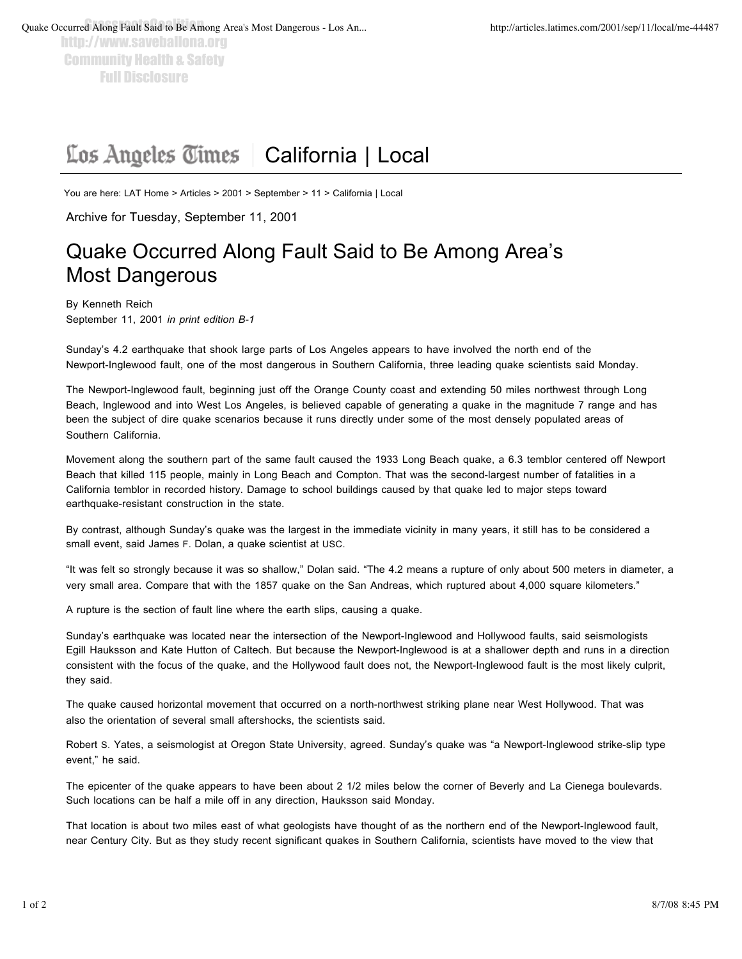http://www.saveballona.org Community Health & Safety Full Disclosure

## Los Angeles Times | California | Local

You are here: LAT Home > Articles > 2001 > September > 11 > California | Local

Archive for Tuesday, September 11, 2001

## Quake Occurred Along Fault Said to Be Among Area's Most Dangerous

By Kenneth Reich September 11, 2001 *in print edition B-1*

Sunday's 4.2 earthquake that shook large parts of Los Angeles appears to have involved the north end of the Newport-Inglewood fault, one of the most dangerous in Southern California, three leading quake scientists said Monday.

The Newport-Inglewood fault, beginning just off the Orange County coast and extending 50 miles northwest through Long Beach, Inglewood and into West Los Angeles, is believed capable of generating a quake in the magnitude 7 range and has been the subject of dire quake scenarios because it runs directly under some of the most densely populated areas of Southern California.

Movement along the southern part of the same fault caused the 1933 Long Beach quake, a 6.3 temblor centered off Newport Beach that killed 115 people, mainly in Long Beach and Compton. That was the second-largest number of fatalities in a California temblor in recorded history. Damage to school buildings caused by that quake led to major steps toward earthquake-resistant construction in the state.

By contrast, although Sunday's quake was the largest in the immediate vicinity in many years, it still has to be considered a small event, said James F. Dolan, a quake scientist at USC.

"It was felt so strongly because it was so shallow," Dolan said. "The 4.2 means a rupture of only about 500 meters in diameter, a very small area. Compare that with the 1857 quake on the San Andreas, which ruptured about 4,000 square kilometers."

A rupture is the section of fault line where the earth slips, causing a quake.

Sunday's earthquake was located near the intersection of the Newport-Inglewood and Hollywood faults, said seismologists Egill Hauksson and Kate Hutton of Caltech. But because the Newport-Inglewood is at a shallower depth and runs in a direction consistent with the focus of the quake, and the Hollywood fault does not, the Newport-Inglewood fault is the most likely culprit, they said.

The quake caused horizontal movement that occurred on a north-northwest striking plane near West Hollywood. That was also the orientation of several small aftershocks, the scientists said.

Robert S. Yates, a seismologist at Oregon State University, agreed. Sunday's quake was "a Newport-Inglewood strike-slip type event," he said.

The epicenter of the quake appears to have been about 2 1/2 miles below the corner of Beverly and La Cienega boulevards. Such locations can be half a mile off in any direction, Hauksson said Monday.

That location is about two miles east of what geologists have thought of as the northern end of the Newport-Inglewood fault, near Century City. But as they study recent significant quakes in Southern California, scientists have moved to the view that